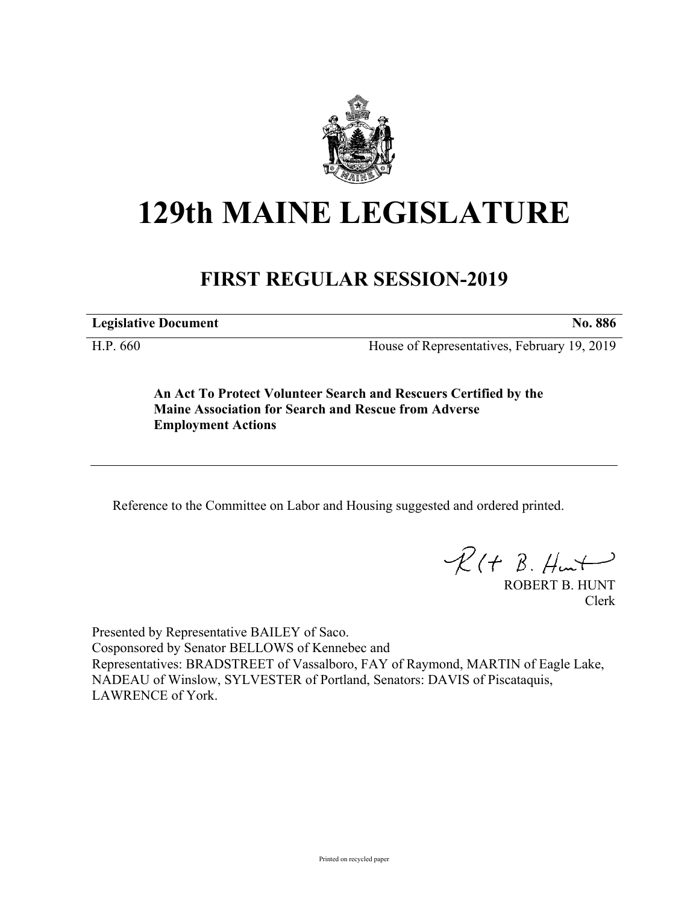

## **129th MAINE LEGISLATURE**

## **FIRST REGULAR SESSION-2019**

**Legislative Document No. 886**

H.P. 660 House of Representatives, February 19, 2019

**An Act To Protect Volunteer Search and Rescuers Certified by the Maine Association for Search and Rescue from Adverse Employment Actions**

Reference to the Committee on Labor and Housing suggested and ordered printed.

 $\mathcal{R}(t \; \mathcal{B}, \#m)$ 

ROBERT B. HUNT Clerk

Presented by Representative BAILEY of Saco. Cosponsored by Senator BELLOWS of Kennebec and Representatives: BRADSTREET of Vassalboro, FAY of Raymond, MARTIN of Eagle Lake, NADEAU of Winslow, SYLVESTER of Portland, Senators: DAVIS of Piscataquis, LAWRENCE of York.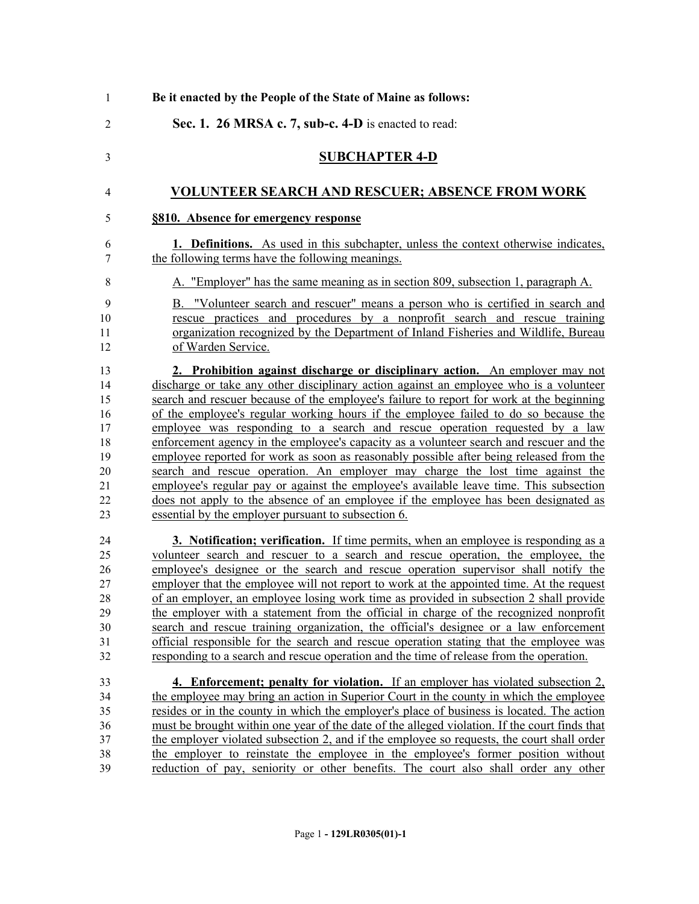| $\mathbf{1}$                                                   | Be it enacted by the People of the State of Maine as follows:                                                                                                                                                                                                                                                                                                                                                                                                                                                                                                                                                                                                                                                                                                                                                                                                                                                                                           |
|----------------------------------------------------------------|---------------------------------------------------------------------------------------------------------------------------------------------------------------------------------------------------------------------------------------------------------------------------------------------------------------------------------------------------------------------------------------------------------------------------------------------------------------------------------------------------------------------------------------------------------------------------------------------------------------------------------------------------------------------------------------------------------------------------------------------------------------------------------------------------------------------------------------------------------------------------------------------------------------------------------------------------------|
| $\overline{2}$                                                 | Sec. 1. 26 MRSA c. 7, sub-c. 4-D is enacted to read:                                                                                                                                                                                                                                                                                                                                                                                                                                                                                                                                                                                                                                                                                                                                                                                                                                                                                                    |
| 3                                                              | <b>SUBCHAPTER 4-D</b>                                                                                                                                                                                                                                                                                                                                                                                                                                                                                                                                                                                                                                                                                                                                                                                                                                                                                                                                   |
| 4                                                              | <b>VOLUNTEER SEARCH AND RESCUER; ABSENCE FROM WORK</b>                                                                                                                                                                                                                                                                                                                                                                                                                                                                                                                                                                                                                                                                                                                                                                                                                                                                                                  |
| 5                                                              | §810. Absence for emergency response                                                                                                                                                                                                                                                                                                                                                                                                                                                                                                                                                                                                                                                                                                                                                                                                                                                                                                                    |
| 6<br>7                                                         | <b>1. Definitions.</b> As used in this subchapter, unless the context otherwise indicates,<br>the following terms have the following meanings.                                                                                                                                                                                                                                                                                                                                                                                                                                                                                                                                                                                                                                                                                                                                                                                                          |
| 8                                                              | A. "Employer" has the same meaning as in section 809, subsection 1, paragraph A.                                                                                                                                                                                                                                                                                                                                                                                                                                                                                                                                                                                                                                                                                                                                                                                                                                                                        |
| 9<br>10<br>11<br>12                                            | B. "Volunteer search and rescuer" means a person who is certified in search and<br>rescue practices and procedures by a nonprofit search and rescue training<br>organization recognized by the Department of Inland Fisheries and Wildlife, Bureau<br>of Warden Service.                                                                                                                                                                                                                                                                                                                                                                                                                                                                                                                                                                                                                                                                                |
| 13<br>14<br>15<br>16<br>17<br>18<br>19<br>20<br>21<br>22<br>23 | 2. Prohibition against discharge or disciplinary action. An employer may not<br>discharge or take any other disciplinary action against an employee who is a volunteer<br>search and rescuer because of the employee's failure to report for work at the beginning<br>of the employee's regular working hours if the employee failed to do so because the<br>employee was responding to a search and rescue operation requested by a law<br>enforcement agency in the employee's capacity as a volunteer search and rescuer and the<br>employee reported for work as soon as reasonably possible after being released from the<br>search and rescue operation. An employer may charge the lost time against the<br>employee's regular pay or against the employee's available leave time. This subsection<br>does not apply to the absence of an employee if the employee has been designated as<br>essential by the employer pursuant to subsection 6. |
| 24<br>25<br>26<br>27<br>28<br>29<br>30<br>31<br>32             | 3. Notification; verification. If time permits, when an employee is responding as a<br>volunteer search and rescuer to a search and rescue operation, the employee, the<br>employee's designee or the search and rescue operation supervisor shall notify the<br>employer that the employee will not report to work at the appointed time. At the request<br>of an employer, an employee losing work time as provided in subsection 2 shall provide<br>the employer with a statement from the official in charge of the recognized nonprofit<br>search and rescue training organization, the official's designee or a law enforcement<br>official responsible for the search and rescue operation stating that the employee was<br>responding to a search and rescue operation and the time of release from the operation.                                                                                                                              |
| 33<br>34<br>35<br>36<br>37<br>38<br>39                         | 4. Enforcement; penalty for violation. If an employer has violated subsection 2,<br>the employee may bring an action in Superior Court in the county in which the employee<br>resides or in the county in which the employer's place of business is located. The action<br>must be brought within one year of the date of the alleged violation. If the court finds that<br>the employer violated subsection 2, and if the employee so requests, the court shall order<br>the employer to reinstate the employee in the employee's former position without<br>reduction of pay, seniority or other benefits. The court also shall order any other                                                                                                                                                                                                                                                                                                       |